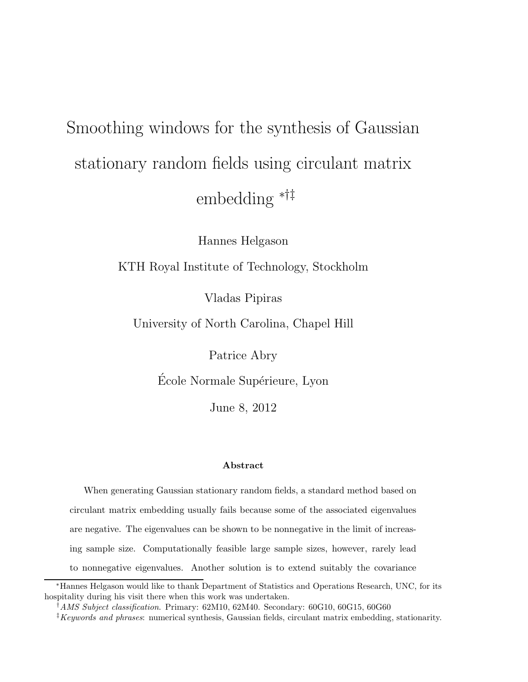# Smoothing windows for the synthesis of Gaussian stationary random fields using circulant matrix embedding ∗†‡

Hannes Helgason

KTH Royal Institute of Technology, Stockholm

Vladas Pipiras

University of North Carolina, Chapel Hill

Patrice Abry

École Normale Supérieure, Lyon

June 8, 2012

#### Abstract

When generating Gaussian stationary random fields, a standard method based on circulant matrix embedding usually fails because some of the associated eigenvalues are negative. The eigenvalues can be shown to be nonnegative in the limit of increasing sample size. Computationally feasible large sample sizes, however, rarely lead to nonnegative eigenvalues. Another solution is to extend suitably the covariance

<sup>∗</sup>Hannes Helgason would like to thank Department of Statistics and Operations Research, UNC, for its hospitality during his visit there when this work was undertaken.

<sup>&</sup>lt;sup>†</sup>AMS Subject classification. Primary: 62M10, 62M40. Secondary: 60G10, 60G15, 60G60

 $\frac{1}{k}$ Keywords and phrases: numerical synthesis, Gaussian fields, circulant matrix embedding, stationarity.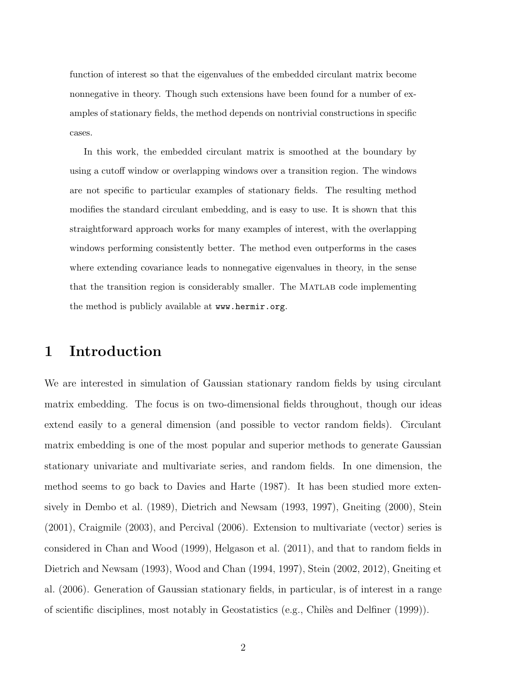function of interest so that the eigenvalues of the embedded circulant matrix become nonnegative in theory. Though such extensions have been found for a number of examples of stationary fields, the method depends on nontrivial constructions in specific cases.

In this work, the embedded circulant matrix is smoothed at the boundary by using a cutoff window or overlapping windows over a transition region. The windows are not specific to particular examples of stationary fields. The resulting method modifies the standard circulant embedding, and is easy to use. It is shown that this straightforward approach works for many examples of interest, with the overlapping windows performing consistently better. The method even outperforms in the cases where extending covariance leads to nonnegative eigenvalues in theory, in the sense that the transition region is considerably smaller. The Matlab code implementing the method is publicly available at www.hermir.org.

## 1 Introduction

We are interested in simulation of Gaussian stationary random fields by using circulant matrix embedding. The focus is on two-dimensional fields throughout, though our ideas extend easily to a general dimension (and possible to vector random fields). Circulant matrix embedding is one of the most popular and superior methods to generate Gaussian stationary univariate and multivariate series, and random fields. In one dimension, the method seems to go back to Davies and Harte (1987). It has been studied more extensively in Dembo et al. (1989), Dietrich and Newsam (1993, 1997), Gneiting (2000), Stein (2001), Craigmile (2003), and Percival (2006). Extension to multivariate (vector) series is considered in Chan and Wood (1999), Helgason et al. (2011), and that to random fields in Dietrich and Newsam (1993), Wood and Chan (1994, 1997), Stein (2002, 2012), Gneiting et al. (2006). Generation of Gaussian stationary fields, in particular, is of interest in a range of scientific disciplines, most notably in Geostatistics (e.g., Chiles and Delfiner  $(1999)$ ).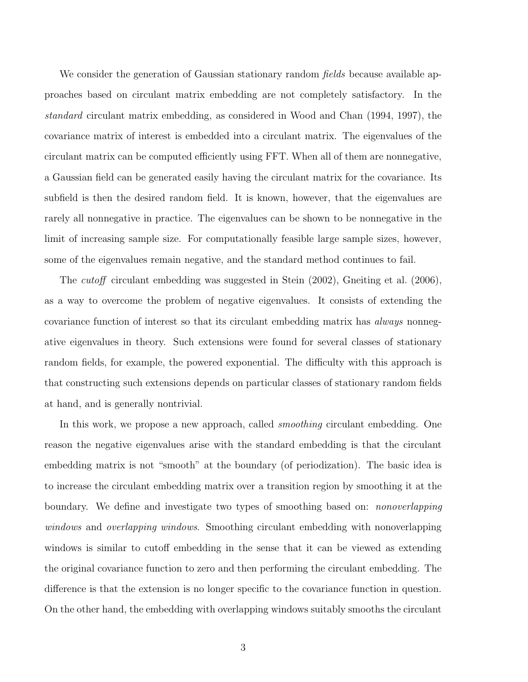We consider the generation of Gaussian stationary random *fields* because available approaches based on circulant matrix embedding are not completely satisfactory. In the standard circulant matrix embedding, as considered in Wood and Chan (1994, 1997), the covariance matrix of interest is embedded into a circulant matrix. The eigenvalues of the circulant matrix can be computed efficiently using FFT. When all of them are nonnegative, a Gaussian field can be generated easily having the circulant matrix for the covariance. Its subfield is then the desired random field. It is known, however, that the eigenvalues are rarely all nonnegative in practice. The eigenvalues can be shown to be nonnegative in the limit of increasing sample size. For computationally feasible large sample sizes, however, some of the eigenvalues remain negative, and the standard method continues to fail.

The *cutoff* circulant embedding was suggested in Stein (2002), Gneiting et al. (2006), as a way to overcome the problem of negative eigenvalues. It consists of extending the covariance function of interest so that its circulant embedding matrix has always nonnegative eigenvalues in theory. Such extensions were found for several classes of stationary random fields, for example, the powered exponential. The difficulty with this approach is that constructing such extensions depends on particular classes of stationary random fields at hand, and is generally nontrivial.

In this work, we propose a new approach, called *smoothing* circulant embedding. One reason the negative eigenvalues arise with the standard embedding is that the circulant embedding matrix is not "smooth" at the boundary (of periodization). The basic idea is to increase the circulant embedding matrix over a transition region by smoothing it at the boundary. We define and investigate two types of smoothing based on: *nonoverlapping* windows and *overlapping windows*. Smoothing circulant embedding with nonoverlapping windows is similar to cutoff embedding in the sense that it can be viewed as extending the original covariance function to zero and then performing the circulant embedding. The difference is that the extension is no longer specific to the covariance function in question. On the other hand, the embedding with overlapping windows suitably smooths the circulant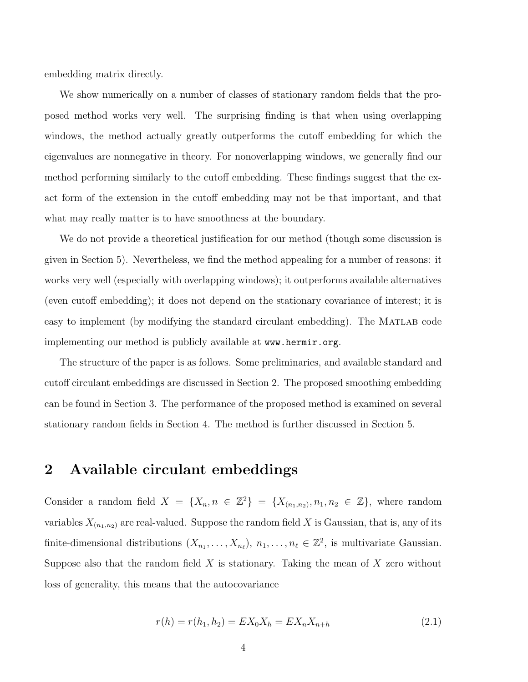embedding matrix directly.

We show numerically on a number of classes of stationary random fields that the proposed method works very well. The surprising finding is that when using overlapping windows, the method actually greatly outperforms the cutoff embedding for which the eigenvalues are nonnegative in theory. For nonoverlapping windows, we generally find our method performing similarly to the cutoff embedding. These findings suggest that the exact form of the extension in the cutoff embedding may not be that important, and that what may really matter is to have smoothness at the boundary.

We do not provide a theoretical justification for our method (though some discussion is given in Section 5). Nevertheless, we find the method appealing for a number of reasons: it works very well (especially with overlapping windows); it outperforms available alternatives (even cutoff embedding); it does not depend on the stationary covariance of interest; it is easy to implement (by modifying the standard circulant embedding). The MATLAB code implementing our method is publicly available at www.hermir.org.

The structure of the paper is as follows. Some preliminaries, and available standard and cutoff circulant embeddings are discussed in Section 2. The proposed smoothing embedding can be found in Section 3. The performance of the proposed method is examined on several stationary random fields in Section 4. The method is further discussed in Section 5.

## 2 Available circulant embeddings

Consider a random field  $X = \{X_n, n \in \mathbb{Z}^2\} = \{X_{(n_1,n_2)}, n_1, n_2 \in \mathbb{Z}\},\$  where random variables  $X_{(n_1,n_2)}$  are real-valued. Suppose the random field X is Gaussian, that is, any of its finite-dimensional distributions  $(X_{n_1},...,X_{n_\ell}), n_1,...,n_\ell \in \mathbb{Z}^2$ , is multivariate Gaussian. Suppose also that the random field  $X$  is stationary. Taking the mean of  $X$  zero without loss of generality, this means that the autocovariance

$$
r(h) = r(h_1, h_2) = EX_0 X_h = EX_n X_{n+h}
$$
\n(2.1)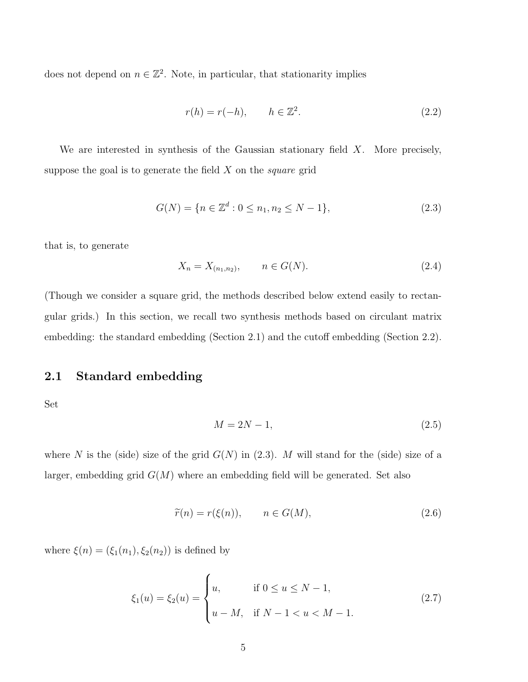does not depend on  $n \in \mathbb{Z}^2$ . Note, in particular, that stationarity implies

$$
r(h) = r(-h), \qquad h \in \mathbb{Z}^2. \tag{2.2}
$$

We are interested in synthesis of the Gaussian stationary field  $X$ . More precisely, suppose the goal is to generate the field  $X$  on the *square* grid

$$
G(N) = \{ n \in \mathbb{Z}^d : 0 \le n_1, n_2 \le N - 1 \},
$$
\n(2.3)

that is, to generate

$$
X_n = X_{(n_1, n_2)}, \qquad n \in G(N). \tag{2.4}
$$

(Though we consider a square grid, the methods described below extend easily to rectangular grids.) In this section, we recall two synthesis methods based on circulant matrix embedding: the standard embedding (Section 2.1) and the cutoff embedding (Section 2.2).

### 2.1 Standard embedding

Set

$$
M = 2N - 1,\t\t(2.5)
$$

where N is the (side) size of the grid  $G(N)$  in (2.3). M will stand for the (side) size of a larger, embedding grid  $G(M)$  where an embedding field will be generated. Set also

$$
\widetilde{r}(n) = r(\xi(n)), \qquad n \in G(M), \tag{2.6}
$$

where  $\xi(n) = (\xi_1(n_1), \xi_2(n_2))$  is defined by

$$
\xi_1(u) = \xi_2(u) = \begin{cases} u, & \text{if } 0 \le u \le N - 1, \\ u - M, & \text{if } N - 1 < u < M - 1. \end{cases}
$$
 (2.7)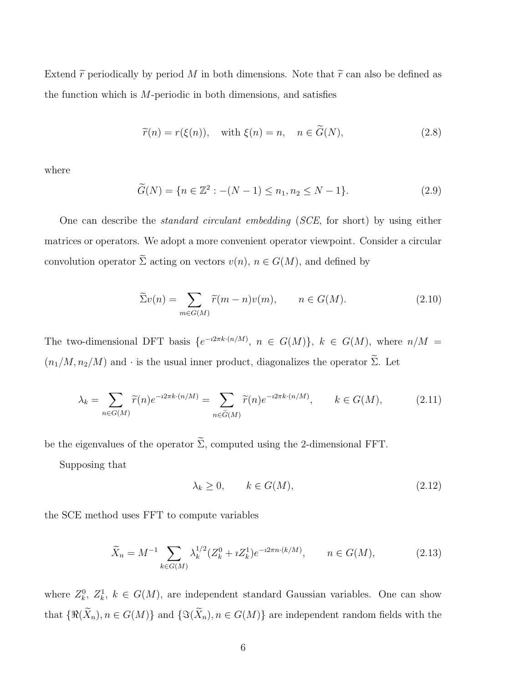Extend  $\tilde{r}$  periodically by period M in both dimensions. Note that  $\tilde{r}$  can also be defined as the function which is  $M$ -periodic in both dimensions, and satisfies

$$
\widetilde{r}(n) = r(\xi(n)), \quad \text{with } \xi(n) = n, \quad n \in \widetilde{G}(N), \tag{2.8}
$$

where

$$
\widetilde{G}(N) = \{ n \in \mathbb{Z}^2 : -(N-1) \le n_1, n_2 \le N-1 \}. \tag{2.9}
$$

One can describe the standard circulant embedding (SCE, for short) by using either matrices or operators. We adopt a more convenient operator viewpoint. Consider a circular convolution operator  $\tilde{\Sigma}$  acting on vectors  $v(n)$ ,  $n \in G(M)$ , and defined by

$$
\widetilde{\Sigma}v(n) = \sum_{m \in G(M)} \widetilde{r}(m-n)v(m), \qquad n \in G(M). \tag{2.10}
$$

The two-dimensional DFT basis  $\{e^{-i2\pi k \cdot (n/M)}, n \in G(M)\}\$ ,  $k \in G(M)$ , where  $n/M =$  $(n_1/M, n_2/M)$  and  $\cdot$  is the usual inner product, diagonalizes the operator  $\widetilde{\Sigma}$ . Let

$$
\lambda_k = \sum_{n \in G(M)} \widetilde{r}(n) e^{-i2\pi k \cdot (n/M)} = \sum_{n \in \widetilde{G}(M)} \widetilde{r}(n) e^{-i2\pi k \cdot (n/M)}, \qquad k \in G(M), \tag{2.11}
$$

be the eigenvalues of the operator  $\widetilde{\Sigma}$ , computed using the 2-dimensional FFT.

Supposing that

$$
\lambda_k \ge 0, \qquad k \in G(M), \tag{2.12}
$$

the SCE method uses FFT to compute variables

$$
\widetilde{X}_n = M^{-1} \sum_{k \in G(M)} \lambda_k^{1/2} (Z_k^0 + i Z_k^1) e^{-i 2\pi n \cdot (k/M)}, \qquad n \in G(M), \tag{2.13}
$$

where  $Z_k^0$ ,  $Z_k^1$ ,  $k \in G(M)$ , are independent standard Gaussian variables. One can show that  $\{\Re(\widetilde{X}_n), n \in G(M)\}\$  and  $\{\Im(\widetilde{X}_n), n \in G(M)\}\$  are independent random fields with the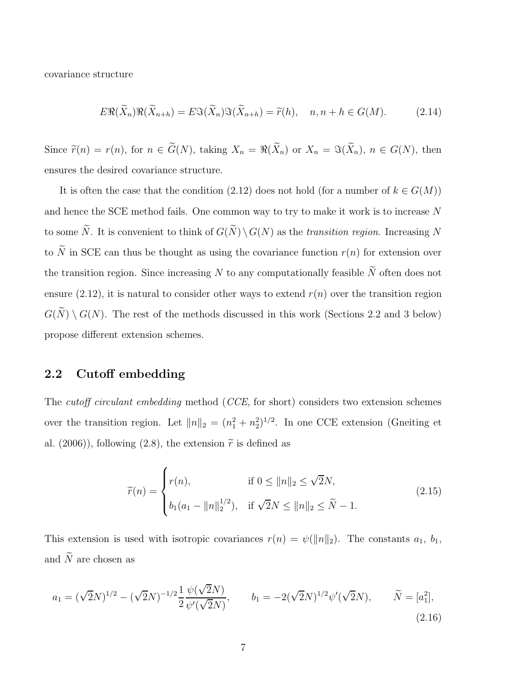covariance structure

$$
E\Re(\widetilde{X}_n)\Re(\widetilde{X}_{n+h}) = E\Im(\widetilde{X}_n)\Im(\widetilde{X}_{n+h}) = \widetilde{r}(h), \quad n, n+h \in G(M). \tag{2.14}
$$

Since  $\tilde{r}(n) = r(n)$ , for  $n \in \tilde{G}(N)$ , taking  $X_n = \Re(\tilde{X}_n)$  or  $X_n = \Im(\tilde{X}_n)$ ,  $n \in G(N)$ , then ensures the desired covariance structure.

It is often the case that the condition (2.12) does not hold (for a number of  $k \in G(M)$ ) and hence the SCE method fails. One common way to try to make it work is to increase N to some  $\widetilde{N}$ . It is convenient to think of  $G(\widetilde{N}) \setminus G(N)$  as the transition region. Increasing N to  $\widetilde{N}$  in SCE can thus be thought as using the covariance function  $r(n)$  for extension over the transition region. Since increasing  $N$  to any computationally feasible  $\widetilde{N}$  often does not ensure (2.12), it is natural to consider other ways to extend  $r(n)$  over the transition region  $G(\widetilde{N}) \setminus G(N)$ . The rest of the methods discussed in this work (Sections 2.2 and 3 below) propose different extension schemes.

#### 2.2 Cutoff embedding

The *cutoff circulant embedding* method (*CCE*, for short) considers two extension schemes over the transition region. Let  $||n||_2 = (n_1^2 + n_2^2)^{1/2}$ . In one CCE extension (Gneiting et al. (2006)), following (2.8), the extension  $\tilde{r}$  is defined as

$$
\widetilde{r}(n) = \begin{cases}\nr(n), & \text{if } 0 \le ||n||_2 \le \sqrt{2}N, \\
b_1(a_1 - ||n||_2^{1/2}), & \text{if } \sqrt{2}N \le ||n||_2 \le \widetilde{N} - 1.\n\end{cases}
$$
\n(2.15)

This extension is used with isotropic covariances  $r(n) = \psi(||n||_2)$ . The constants  $a_1, b_1$ , and  $\widetilde{N}$  are chosen as

$$
a_1 = (\sqrt{2}N)^{1/2} - (\sqrt{2}N)^{-1/2} \frac{1}{2} \frac{\psi(\sqrt{2}N)}{\psi'(\sqrt{2}N)}, \qquad b_1 = -2(\sqrt{2}N)^{1/2} \psi'(\sqrt{2}N), \qquad \widetilde{N} = [a_1^2],
$$
\n(2.16)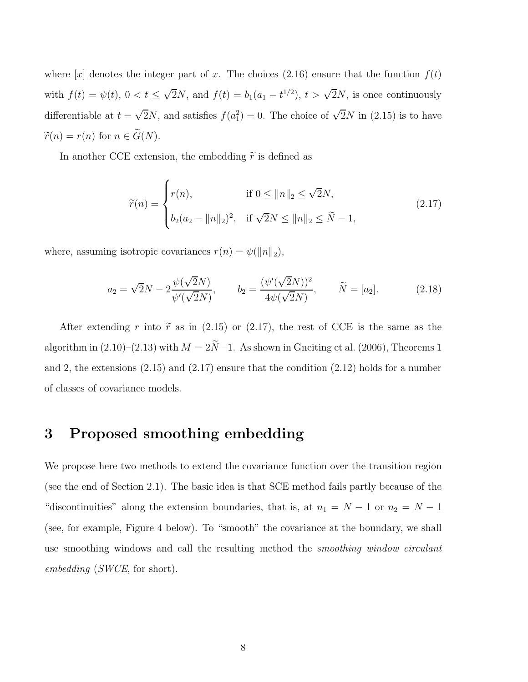where  $[x]$  denotes the integer part of x. The choices (2.16) ensure that the function  $f(t)$ with  $f(t) = \psi(t)$ ,  $0 < t \leq \sqrt{2}N$ , and  $f(t) = b_1(a_1 - t^{1/2})$ ,  $t > \sqrt{2}N$ , is once continuously differentiable at  $t = \sqrt{2}N$ , and satisfies  $f(a_1^2) = 0$ . The choice of  $\sqrt{2}N$  in (2.15) is to have  $\widetilde{r}(n) = r(n)$  for  $n \in \widetilde{G}(N)$ .

In another CCE extension, the embedding  $\tilde{r}$  is defined as

$$
\widetilde{r}(n) = \begin{cases}\nr(n), & \text{if } 0 \le ||n||_2 \le \sqrt{2}N, \\
b_2(a_2 - ||n||_2)^2, & \text{if } \sqrt{2}N \le ||n||_2 \le \widetilde{N} - 1,\n\end{cases}
$$
\n(2.17)

where, assuming isotropic covariances  $r(n) = \psi(||n||_2)$ ,

$$
a_2 = \sqrt{2}N - 2\frac{\psi(\sqrt{2}N)}{\psi'(\sqrt{2}N)}, \qquad b_2 = \frac{(\psi'(\sqrt{2}N))^2}{4\psi(\sqrt{2}N)}, \qquad \widetilde{N} = [a_2].
$$
 (2.18)

After extending r into  $\tilde{r}$  as in (2.15) or (2.17), the rest of CCE is the same as the algorithm in  $(2.10)–(2.13)$  with  $M = 2\tilde{N}-1$ . As shown in Gneiting et al. (2006), Theorems 1 and 2, the extensions (2.15) and (2.17) ensure that the condition (2.12) holds for a number of classes of covariance models.

## 3 Proposed smoothing embedding

We propose here two methods to extend the covariance function over the transition region (see the end of Section 2.1). The basic idea is that SCE method fails partly because of the "discontinuities" along the extension boundaries, that is, at  $n_1 = N - 1$  or  $n_2 = N - 1$ (see, for example, Figure 4 below). To "smooth" the covariance at the boundary, we shall use smoothing windows and call the resulting method the smoothing window circulant embedding (SWCE, for short).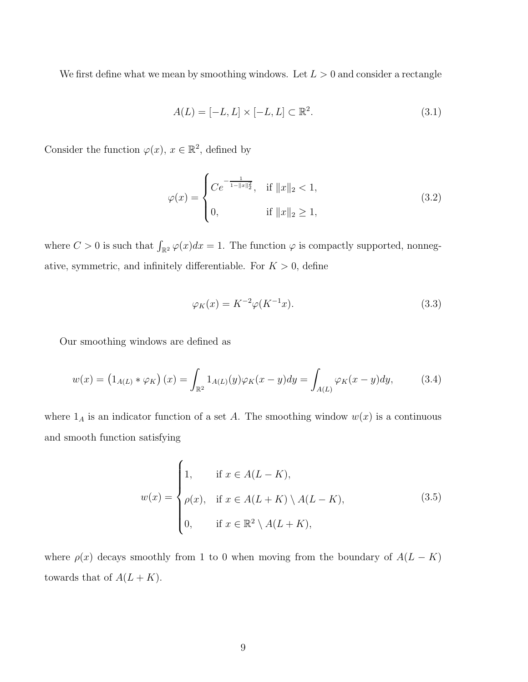We first define what we mean by smoothing windows. Let  $L > 0$  and consider a rectangle

$$
A(L) = [-L, L] \times [-L, L] \subset \mathbb{R}^2.
$$
\n
$$
(3.1)
$$

Consider the function  $\varphi(x)$ ,  $x \in \mathbb{R}^2$ , defined by

$$
\varphi(x) = \begin{cases}\nCe^{-\frac{1}{1 - \|x\|_2^2}}, & \text{if } \|x\|_2 < 1, \\
0, & \text{if } \|x\|_2 \ge 1,\n\end{cases}
$$
\n(3.2)

where  $C > 0$  is such that  $\int_{\mathbb{R}^2} \varphi(x) dx = 1$ . The function  $\varphi$  is compactly supported, nonnegative, symmetric, and infinitely differentiable. For  $K > 0$ , define

$$
\varphi_K(x) = K^{-2} \varphi(K^{-1}x). \tag{3.3}
$$

Our smoothing windows are defined as

$$
w(x) = \left(1_{A(L)} * \varphi_K\right)(x) = \int_{\mathbb{R}^2} 1_{A(L)}(y)\varphi_K(x-y)dy = \int_{A(L)} \varphi_K(x-y)dy,\tag{3.4}
$$

where  $1_A$  is an indicator function of a set A. The smoothing window  $w(x)$  is a continuous and smooth function satisfying

$$
w(x) = \begin{cases} 1, & \text{if } x \in A(L-K), \\ \rho(x), & \text{if } x \in A(L+K) \setminus A(L-K), \\ 0, & \text{if } x \in \mathbb{R}^2 \setminus A(L+K), \end{cases} \tag{3.5}
$$

where  $\rho(x)$  decays smoothly from 1 to 0 when moving from the boundary of  $A(L - K)$ towards that of  $A(L + K)$ .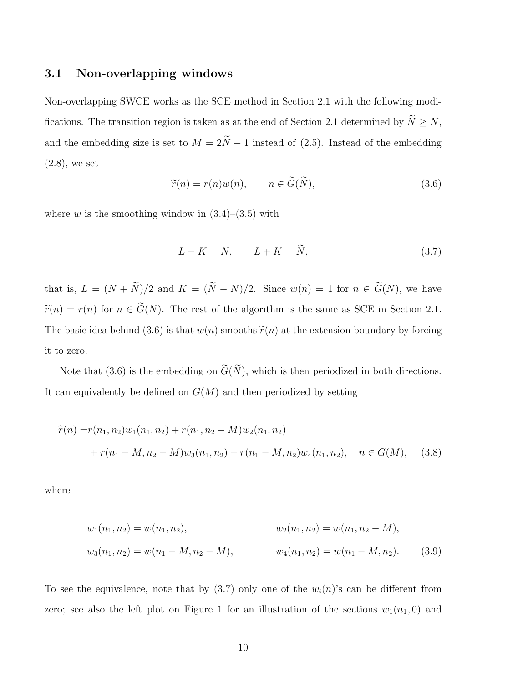#### 3.1 Non-overlapping windows

Non-overlapping SWCE works as the SCE method in Section 2.1 with the following modifications. The transition region is taken as at the end of Section 2.1 determined by  $\widetilde{N}\geq N,$ and the embedding size is set to  $M = 2\tilde{N} - 1$  instead of (2.5). Instead of the embedding (2.8), we set

$$
\widetilde{r}(n) = r(n)w(n), \qquad n \in \widetilde{G}(\widetilde{N}), \tag{3.6}
$$

where w is the smoothing window in  $(3.4)$ – $(3.5)$  with

$$
L - K = N, \qquad L + K = \tilde{N}, \tag{3.7}
$$

that is,  $L = (N + \tilde{N})/2$  and  $K = (\tilde{N} - N)/2$ . Since  $w(n) = 1$  for  $n \in \tilde{G}(N)$ , we have  $\widetilde{r}(n) = r(n)$  for  $n \in \widetilde{G}(N)$ . The rest of the algorithm is the same as SCE in Section 2.1. The basic idea behind (3.6) is that  $w(n)$  smooths  $\tilde{r}(n)$  at the extension boundary by forcing it to zero.

Note that (3.6) is the embedding on  $\widetilde{G}(\widetilde{N})$ , which is then periodized in both directions. It can equivalently be defined on  $G(M)$  and then periodized by setting

$$
\widetilde{r}(n) = r(n_1, n_2)w_1(n_1, n_2) + r(n_1, n_2 - M)w_2(n_1, n_2)
$$
  
+ 
$$
r(n_1 - M, n_2 - M)w_3(n_1, n_2) + r(n_1 - M, n_2)w_4(n_1, n_2), \quad n \in G(M), \quad (3.8)
$$

where

$$
w_1(n_1, n_2) = w(n_1, n_2),
$$
  
\n
$$
w_2(n_1, n_2) = w(n_1, n_2 - M),
$$
  
\n
$$
w_3(n_1, n_2) = w(n_1 - M, n_2 - M),
$$
  
\n
$$
w_4(n_1, n_2) = w(n_1 - M, n_2).
$$
  
\n(3.9)

To see the equivalence, note that by  $(3.7)$  only one of the  $w_i(n)$ 's can be different from zero; see also the left plot on Figure 1 for an illustration of the sections  $w_1(n_1, 0)$  and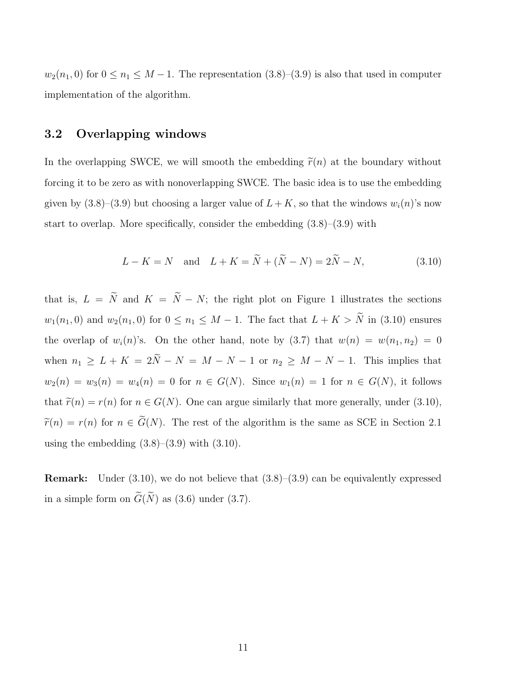$w_2(n_1, 0)$  for  $0 \le n_1 \le M - 1$ . The representation  $(3.8)-(3.9)$  is also that used in computer implementation of the algorithm.

#### 3.2 Overlapping windows

In the overlapping SWCE, we will smooth the embedding  $\tilde{r}(n)$  at the boundary without forcing it to be zero as with nonoverlapping SWCE. The basic idea is to use the embedding given by  $(3.8)$ – $(3.9)$  but choosing a larger value of  $L + K$ , so that the windows  $w_i(n)$ 's now start to overlap. More specifically, consider the embedding (3.8)–(3.9) with

$$
L - K = N \text{ and } L + K = N + (N - N) = 2N - N,
$$
\n(3.10)

that is,  $L = \tilde{N}$  and  $K = \tilde{N} - N$ ; the right plot on Figure 1 illustrates the sections  $w_1(n_1, 0)$  and  $w_2(n_1, 0)$  for  $0 \le n_1 \le M - 1$ . The fact that  $L + K > \tilde{N}$  in (3.10) ensures the overlap of  $w_i(n)$ 's. On the other hand, note by (3.7) that  $w(n) = w(n_1, n_2) = 0$ when  $n_1 \geq L + K = 2\tilde{N} - N = M - N - 1$  or  $n_2 \geq M - N - 1$ . This implies that  $w_2(n) = w_3(n) = w_4(n) = 0$  for  $n \in G(N)$ . Since  $w_1(n) = 1$  for  $n \in G(N)$ , it follows that  $\tilde{r}(n) = r(n)$  for  $n \in G(N)$ . One can argue similarly that more generally, under (3.10),  $\widetilde{r}(n) = r(n)$  for  $n \in \widetilde{G}(N)$ . The rest of the algorithm is the same as SCE in Section 2.1 using the embedding  $(3.8)$ – $(3.9)$  with  $(3.10)$ .

**Remark:** Under  $(3.10)$ , we do not believe that  $(3.8)$ – $(3.9)$  can be equivalently expressed in a simple form on  $\widetilde{G}(\widetilde{N})$  as (3.6) under (3.7).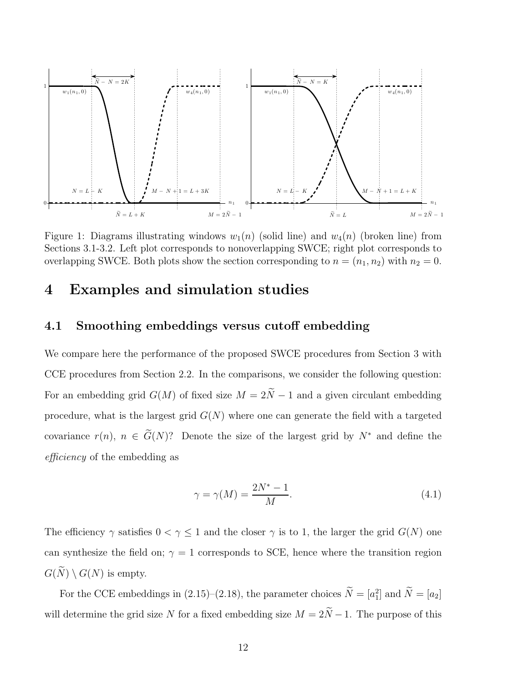

Figure 1: Diagrams illustrating windows  $w_1(n)$  (solid line) and  $w_4(n)$  (broken line) from Sections 3.1-3.2. Left plot corresponds to nonoverlapping SWCE; right plot corresponds to overlapping SWCE. Both plots show the section corresponding to  $n = (n_1, n_2)$  with  $n_2 = 0$ .

## 4 Examples and simulation studies

## 4.1 Smoothing embeddings versus cutoff embedding

We compare here the performance of the proposed SWCE procedures from Section 3 with CCE procedures from Section 2.2. In the comparisons, we consider the following question: For an embedding grid  $G(M)$  of fixed size  $M = 2\tilde{N}-1$  and a given circulant embedding procedure, what is the largest grid  $G(N)$  where one can generate the field with a targeted covariance  $r(n)$ ,  $n \in \widetilde{G}(N)$ ? Denote the size of the largest grid by  $N^*$  and define the efficiency of the embedding as

$$
\gamma = \gamma(M) = \frac{2N^* - 1}{M}.\tag{4.1}
$$

The efficiency  $\gamma$  satisfies  $0 < \gamma \leq 1$  and the closer  $\gamma$  is to 1, the larger the grid  $G(N)$  one can synthesize the field on;  $\gamma = 1$  corresponds to SCE, hence where the transition region  $G(\widetilde{N}) \setminus G(N)$  is empty.

For the CCE embeddings in (2.15)–(2.18), the parameter choices  $N = [a_1^2]$  and  $N = [a_2]$ will determine the grid size N for a fixed embedding size  $M = 2\tilde{N} - 1$ . The purpose of this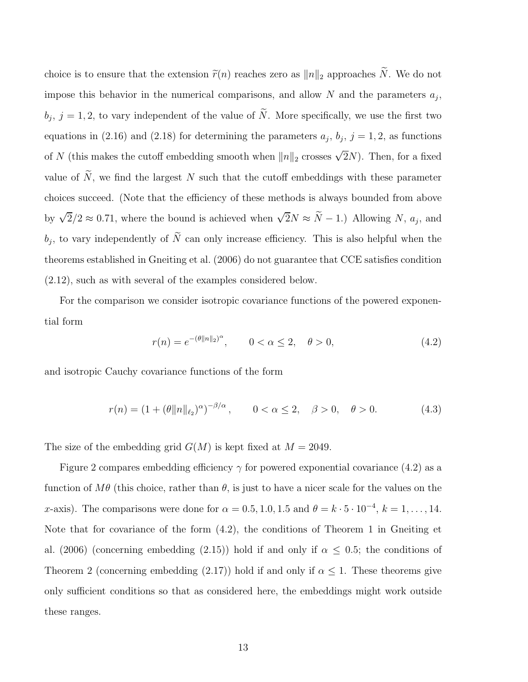choice is to ensure that the extension  $\tilde{r}(n)$  reaches zero as  $||n||_2$  approaches  $\tilde{N}$ . We do not impose this behavior in the numerical comparisons, and allow  $N$  and the parameters  $a_j$ ,  $b_j$ ,  $j = 1, 2$ , to vary independent of the value of N. More specifically, we use the first two equations in (2.16) and (2.18) for determining the parameters  $a_j$ ,  $b_j$ ,  $j = 1, 2$ , as functions of N (this makes the cutoff embedding smooth when  $||n||_2$  crosses  $\sqrt{2}N$ ). Then, for a fixed value of  $\widetilde{N}$ , we find the largest N such that the cutoff embeddings with these parameter choices succeed. (Note that the efficiency of these methods is always bounded from above by  $\sqrt{2}/2 \approx 0.71$ , where the bound is achieved when  $\sqrt{2}N \approx \tilde{N} - 1$ .) Allowing N,  $a_j$ , and  $b_j$ , to vary independently of N can only increase efficiency. This is also helpful when the theorems established in Gneiting et al. (2006) do not guarantee that CCE satisfies condition (2.12), such as with several of the examples considered below.

For the comparison we consider isotropic covariance functions of the powered exponential form

$$
r(n) = e^{-(\theta \|n\|_2)^{\alpha}}, \qquad 0 < \alpha \le 2, \quad \theta > 0,
$$
\n(4.2)

and isotropic Cauchy covariance functions of the form

$$
r(n) = (1 + (\theta \|n\|_{\ell_2})^{\alpha})^{-\beta/\alpha}, \qquad 0 < \alpha \le 2, \quad \beta > 0, \quad \theta > 0.
$$
 (4.3)

The size of the embedding grid  $G(M)$  is kept fixed at  $M = 2049$ .

Figure 2 compares embedding efficiency  $\gamma$  for powered exponential covariance (4.2) as a function of  $M\theta$  (this choice, rather than  $\theta$ , is just to have a nicer scale for the values on the x-axis). The comparisons were done for  $\alpha = 0.5, 1.0, 1.5$  and  $\theta = k \cdot 5 \cdot 10^{-4}, k = 1, \ldots, 14$ . Note that for covariance of the form (4.2), the conditions of Theorem 1 in Gneiting et al. (2006) (concerning embedding (2.15)) hold if and only if  $\alpha \leq 0.5$ ; the conditions of Theorem 2 (concerning embedding (2.17)) hold if and only if  $\alpha \leq 1$ . These theorems give only sufficient conditions so that as considered here, the embeddings might work outside these ranges.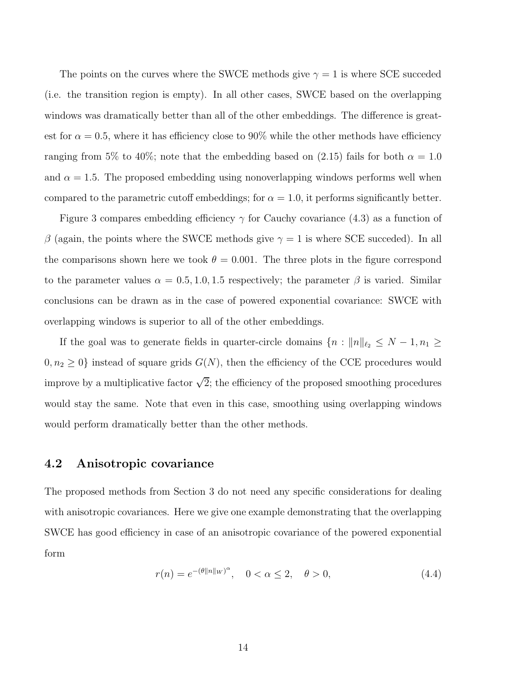The points on the curves where the SWCE methods give  $\gamma = 1$  is where SCE succeded (i.e. the transition region is empty). In all other cases, SWCE based on the overlapping windows was dramatically better than all of the other embeddings. The difference is greatest for  $\alpha = 0.5$ , where it has efficiency close to 90% while the other methods have efficiency ranging from 5% to 40%; note that the embedding based on (2.15) fails for both  $\alpha = 1.0$ and  $\alpha = 1.5$ . The proposed embedding using nonoverlapping windows performs well when compared to the parametric cutoff embeddings; for  $\alpha = 1.0$ , it performs significantly better.

Figure 3 compares embedding efficiency  $\gamma$  for Cauchy covariance (4.3) as a function of  $\beta$  (again, the points where the SWCE methods give  $\gamma = 1$  is where SCE succeded). In all the comparisons shown here we took  $\theta = 0.001$ . The three plots in the figure correspond to the parameter values  $\alpha = 0.5, 1.0, 1.5$  respectively; the parameter  $\beta$  is varied. Similar conclusions can be drawn as in the case of powered exponential covariance: SWCE with overlapping windows is superior to all of the other embeddings.

If the goal was to generate fields in quarter-circle domains  $\{n : ||n||_{\ell_2} \leq N - 1, n_1 \geq \ell_2 \}$  $0, n_2 \geq 0$  instead of square grids  $G(N)$ , then the efficiency of the CCE procedures would improve by a multiplicative factor  $\sqrt{2}$ ; the efficiency of the proposed smoothing procedures would stay the same. Note that even in this case, smoothing using overlapping windows would perform dramatically better than the other methods.

#### 4.2 Anisotropic covariance

The proposed methods from Section 3 do not need any specific considerations for dealing with anisotropic covariances. Here we give one example demonstrating that the overlapping SWCE has good efficiency in case of an anisotropic covariance of the powered exponential form

$$
r(n) = e^{-(\theta ||n||_W)^\alpha}, \quad 0 < \alpha \le 2, \quad \theta > 0,\tag{4.4}
$$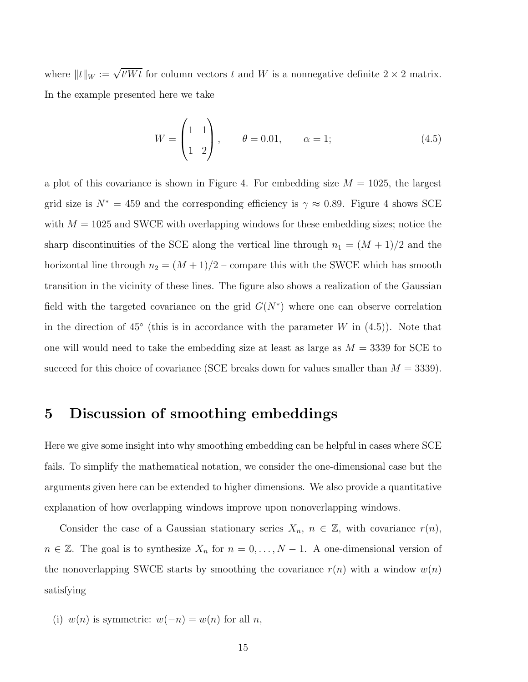where  $||t||_W := \sqrt{t'Wt}$  for column vectors t and W is a nonnegative definite  $2 \times 2$  matrix. In the example presented here we take

$$
W = \begin{pmatrix} 1 & 1 \\ 1 & 2 \end{pmatrix}, \qquad \theta = 0.01, \qquad \alpha = 1; \tag{4.5}
$$

a plot of this covariance is shown in Figure 4. For embedding size  $M = 1025$ , the largest grid size is  $N^* = 459$  and the corresponding efficiency is  $\gamma \approx 0.89$ . Figure 4 shows SCE with  $M = 1025$  and SWCE with overlapping windows for these embedding sizes; notice the sharp discontinuities of the SCE along the vertical line through  $n_1 = (M + 1)/2$  and the horizontal line through  $n_2 = (M + 1)/2$  – compare this with the SWCE which has smooth transition in the vicinity of these lines. The figure also shows a realization of the Gaussian field with the targeted covariance on the grid  $G(N^*)$  where one can observe correlation in the direction of  $45°$  (this is in accordance with the parameter W in  $(4.5)$ ). Note that one will would need to take the embedding size at least as large as  $M = 3339$  for SCE to succeed for this choice of covariance (SCE breaks down for values smaller than  $M = 3339$ ).

## 5 Discussion of smoothing embeddings

Here we give some insight into why smoothing embedding can be helpful in cases where SCE fails. To simplify the mathematical notation, we consider the one-dimensional case but the arguments given here can be extended to higher dimensions. We also provide a quantitative explanation of how overlapping windows improve upon nonoverlapping windows.

Consider the case of a Gaussian stationary series  $X_n$ ,  $n \in \mathbb{Z}$ , with covariance  $r(n)$ ,  $n \in \mathbb{Z}$ . The goal is to synthesize  $X_n$  for  $n = 0, \ldots, N - 1$ . A one-dimensional version of the nonoverlapping SWCE starts by smoothing the covariance  $r(n)$  with a window  $w(n)$ satisfying

(i)  $w(n)$  is symmetric:  $w(-n) = w(n)$  for all n,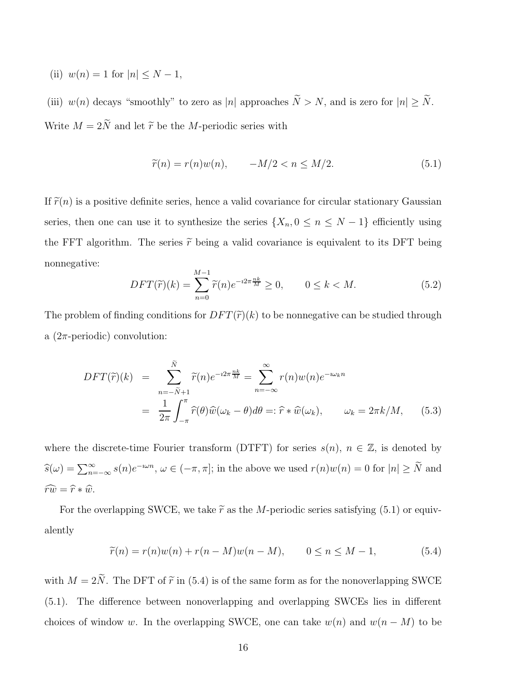(ii)  $w(n) = 1$  for  $|n| \leq N - 1$ ,

(iii)  $w(n)$  decays "smoothly" to zero as |n| approaches  $\widetilde{N} > N$ , and is zero for  $|n| \geq \widetilde{N}$ . Write  $M = 2\tilde{N}$  and let  $\tilde{r}$  be the M-periodic series with

$$
\widetilde{r}(n) = r(n)w(n), \qquad -M/2 < n \le M/2. \tag{5.1}
$$

If  $\tilde{r}(n)$  is a positive definite series, hence a valid covariance for circular stationary Gaussian series, then one can use it to synthesize the series  $\{X_n, 0 \le n \le N - 1\}$  efficiently using the FFT algorithm. The series  $\tilde{r}$  being a valid covariance is equivalent to its DFT being nonnegative:

$$
DFT(\widetilde{r})(k) = \sum_{n=0}^{M-1} \widetilde{r}(n)e^{-i2\pi\frac{nk}{M}} \ge 0, \qquad 0 \le k < M. \tag{5.2}
$$

The problem of finding conditions for  $DFT(\tilde{r})(k)$  to be nonnegative can be studied through a  $(2\pi$ -periodic) convolution:

$$
DFT(\tilde{r})(k) = \sum_{n=-\tilde{N}+1}^{\tilde{N}} \tilde{r}(n)e^{-i2\pi \frac{nk}{M}} = \sum_{n=-\infty}^{\infty} r(n)w(n)e^{-i\omega_k n}
$$

$$
= \frac{1}{2\pi} \int_{-\pi}^{\pi} \hat{r}(\theta)\hat{w}(\omega_k - \theta)d\theta =: \hat{r} * \hat{w}(\omega_k), \qquad \omega_k = 2\pi k/M, \qquad (5.3)
$$

where the discrete-time Fourier transform (DTFT) for series  $s(n)$ ,  $n \in \mathbb{Z}$ , is denoted by  $\widehat{s}(\omega) = \sum_{n=-\infty}^{\infty} s(n)e^{-i\omega n}, \omega \in (-\pi, \pi]$ ; in the above we used  $r(n)w(n) = 0$  for  $|n| \geq \widetilde{N}$  and  $\widehat{rw} = \widehat{r} * \widehat{w}.$ 

For the overlapping SWCE, we take  $\tilde{r}$  as the M-periodic series satisfying (5.1) or equivalently

$$
\tilde{r}(n) = r(n)w(n) + r(n-M)w(n-M), \qquad 0 \le n \le M-1,
$$
\n(5.4)

with  $M = 2\tilde{N}$ . The DFT of  $\tilde{r}$  in (5.4) is of the same form as for the nonoverlapping SWCE (5.1). The difference between nonoverlapping and overlapping SWCEs lies in different choices of window w. In the overlapping SWCE, one can take  $w(n)$  and  $w(n - M)$  to be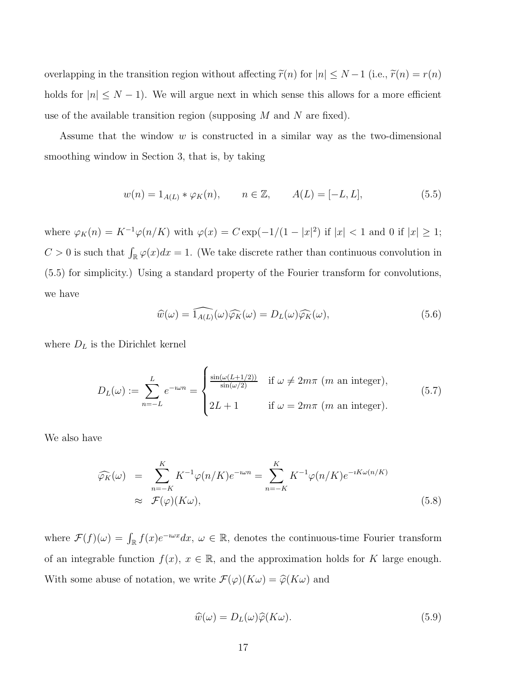overlapping in the transition region without affecting  $\tilde{r}(n)$  for  $|n| \leq N-1$  (i.e.,  $\tilde{r}(n) = r(n)$ ) holds for  $|n| \leq N - 1$ ). We will argue next in which sense this allows for a more efficient use of the available transition region (supposing  $M$  and  $N$  are fixed).

Assume that the window  $w$  is constructed in a similar way as the two-dimensional smoothing window in Section 3, that is, by taking

$$
w(n) = 1_{A(L)} * \varphi_K(n), \qquad n \in \mathbb{Z}, \qquad A(L) = [-L, L], \tag{5.5}
$$

where  $\varphi_K(n) = K^{-1}\varphi(n/K)$  with  $\varphi(x) = C \exp(-1/(1-|x|^2))$  if  $|x| < 1$  and 0 if  $|x| \geq 1$ ;  $C > 0$  is such that  $\int_{\mathbb{R}} \varphi(x) dx = 1$ . (We take discrete rather than continuous convolution in (5.5) for simplicity.) Using a standard property of the Fourier transform for convolutions, we have

$$
\widehat{w}(\omega) = \widehat{1_{A(L)}}(\omega)\widehat{\varphi_K}(\omega) = D_L(\omega)\widehat{\varphi_K}(\omega),\tag{5.6}
$$

where  $D<sub>L</sub>$  is the Dirichlet kernel

$$
D_L(\omega) := \sum_{n=-L}^{L} e^{-i\omega n} = \begin{cases} \frac{\sin(\omega(L+1/2))}{\sin(\omega/2)} & \text{if } \omega \neq 2m\pi \ (m \text{ an integer}), \\ 2L+1 & \text{if } \omega = 2m\pi \ (m \text{ an integer}). \end{cases} \tag{5.7}
$$

We also have

$$
\widehat{\varphi_K}(\omega) = \sum_{n=-K}^{K} K^{-1} \varphi(n/K) e^{-\omega n} = \sum_{n=-K}^{K} K^{-1} \varphi(n/K) e^{-iK\omega(n/K)}
$$
\n
$$
\approx \mathcal{F}(\varphi)(K\omega), \tag{5.8}
$$

where  $\mathcal{F}(f)(\omega) = \int_{\mathbb{R}} f(x)e^{-i\omega x} dx, \ \omega \in \mathbb{R}$ , denotes the continuous-time Fourier transform of an integrable function  $f(x)$ ,  $x \in \mathbb{R}$ , and the approximation holds for K large enough. With some abuse of notation, we write  $\mathcal{F}(\varphi)(K\omega) = \widehat{\varphi}(K\omega)$  and

$$
\widehat{w}(\omega) = D_L(\omega)\widehat{\varphi}(K\omega). \tag{5.9}
$$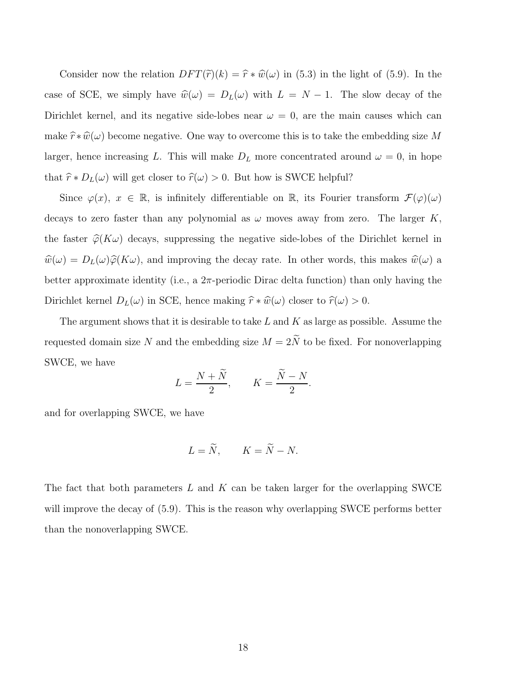Consider now the relation  $DFT(\tilde{r})(k) = \hat{r} * \hat{w}(\omega)$  in (5.3) in the light of (5.9). In the case of SCE, we simply have  $\hat{w}(\omega) = D_L(\omega)$  with  $L = N - 1$ . The slow decay of the Dirichlet kernel, and its negative side-lobes near  $\omega = 0$ , are the main causes which can make  $\hat{r} * \hat{w}(\omega)$  become negative. One way to overcome this is to take the embedding size M larger, hence increasing L. This will make  $D<sub>L</sub>$  more concentrated around  $\omega = 0$ , in hope that  $\hat{r} * D_L(\omega)$  will get closer to  $\hat{r}(\omega) > 0$ . But how is SWCE helpful?

Since  $\varphi(x)$ ,  $x \in \mathbb{R}$ , is infinitely differentiable on  $\mathbb{R}$ , its Fourier transform  $\mathcal{F}(\varphi)(\omega)$ decays to zero faster than any polynomial as  $\omega$  moves away from zero. The larger K, the faster  $\hat{\varphi}(K\omega)$  decays, suppressing the negative side-lobes of the Dirichlet kernel in  $\hat{w}(\omega) = D_L(\omega)\hat{\varphi}(K\omega)$ , and improving the decay rate. In other words, this makes  $\hat{w}(\omega)$  a better approximate identity (i.e., a  $2\pi$ -periodic Dirac delta function) than only having the Dirichlet kernel  $D_L(\omega)$  in SCE, hence making  $\hat{r} * \hat{w}(\omega)$  closer to  $\hat{r}(\omega) > 0$ .

The argument shows that it is desirable to take  $L$  and  $K$  as large as possible. Assume the requested domain size  $N$  and the embedding size  $M = 2\tilde{N}$  to be fixed. For nonoverlapping SWCE, we have

$$
L = \frac{N+N}{2}, \qquad K = \frac{N-N}{2}.
$$

and for overlapping SWCE, we have

$$
L = \widetilde{N}, \qquad K = \widetilde{N} - N.
$$

The fact that both parameters  $L$  and  $K$  can be taken larger for the overlapping SWCE will improve the decay of  $(5.9)$ . This is the reason why overlapping SWCE performs better than the nonoverlapping SWCE.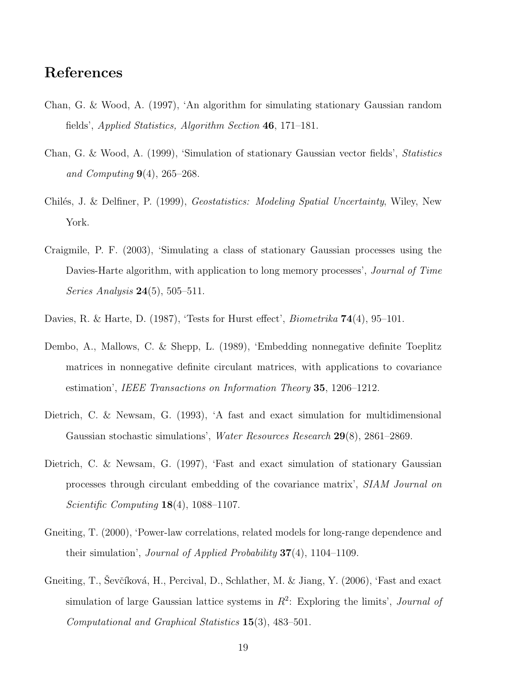## References

- Chan, G. & Wood, A. (1997), 'An algorithm for simulating stationary Gaussian random fields', Applied Statistics, Algorithm Section 46, 171–181.
- Chan, G. & Wood, A. (1999), 'Simulation of stationary Gaussian vector fields', Statistics and Computing  $9(4)$ , 265–268.
- Chilés, J. & Delfiner, P. (1999), Geostatistics: Modeling Spatial Uncertainty, Wiley, New York.
- Craigmile, P. F. (2003), 'Simulating a class of stationary Gaussian processes using the Davies-Harte algorithm, with application to long memory processes', *Journal of Time Series Analysis* **24**(5), 505–511.
- Davies, R. & Harte, D. (1987), 'Tests for Hurst effect', *Biometrika* **74**(4), 95–101.
- Dembo, A., Mallows, C. & Shepp, L. (1989), 'Embedding nonnegative definite Toeplitz matrices in nonnegative definite circulant matrices, with applications to covariance estimation', IEEE Transactions on Information Theory 35, 1206–1212.
- Dietrich, C. & Newsam, G. (1993), 'A fast and exact simulation for multidimensional Gaussian stochastic simulations', Water Resources Research 29(8), 2861–2869.
- Dietrich, C. & Newsam, G. (1997), 'Fast and exact simulation of stationary Gaussian processes through circulant embedding of the covariance matrix', SIAM Journal on Scientific Computing  $18(4)$ , 1088-1107.
- Gneiting, T. (2000), 'Power-law correlations, related models for long-range dependence and their simulation', *Journal of Applied Probability*  $37(4)$ , 1104–1109.
- Gneiting, T., Ševčíková, H., Percival, D., Schlather, M. & Jiang, Y. (2006), 'Fast and exact simulation of large Gaussian lattice systems in  $R^2$ : Exploring the limits', *Journal of* Computational and Graphical Statistics 15(3), 483–501.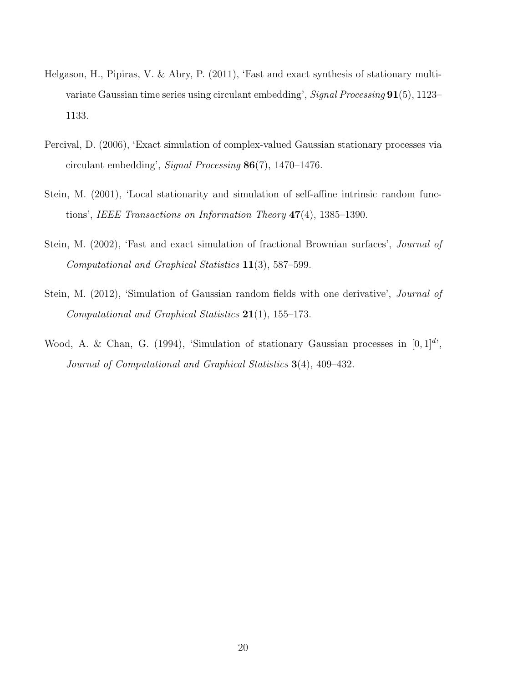- Helgason, H., Pipiras, V. & Abry, P. (2011), 'Fast and exact synthesis of stationary multivariate Gaussian time series using circulant embedding', Signal Processing 91(5), 1123– 1133.
- Percival, D. (2006), 'Exact simulation of complex-valued Gaussian stationary processes via circulant embedding', Signal Processing 86(7), 1470–1476.
- Stein, M. (2001), 'Local stationarity and simulation of self-affine intrinsic random functions', IEEE Transactions on Information Theory 47(4), 1385–1390.
- Stein, M. (2002), 'Fast and exact simulation of fractional Brownian surfaces', *Journal of* Computational and Graphical Statistics 11(3), 587–599.
- Stein, M. (2012), 'Simulation of Gaussian random fields with one derivative', *Journal of* Computational and Graphical Statistics  $21(1)$ , 155-173.
- Wood, A. & Chan, G. (1994), 'Simulation of stationary Gaussian processes in  $[0,1]^{d'}$ , Journal of Computational and Graphical Statistics 3(4), 409–432.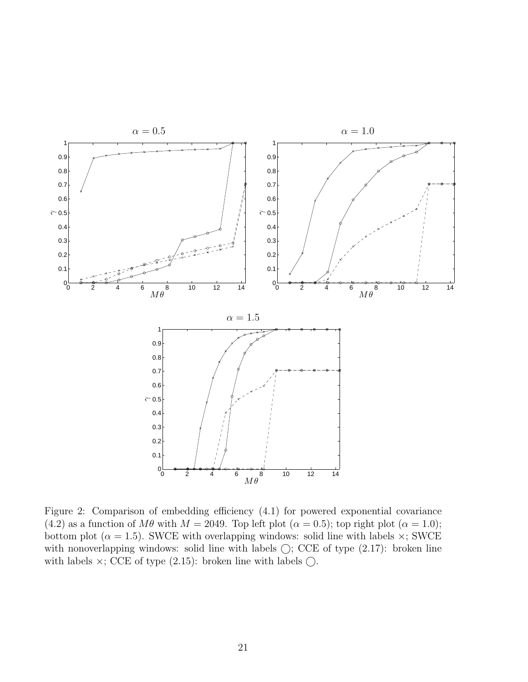

Figure 2: Comparison of embedding efficiency (4.1) for powered exponential covariance (4.2) as a function of  $M\theta$  with  $M = 2049$ . Top left plot ( $\alpha = 0.5$ ); top right plot ( $\alpha = 1.0$ ); bottom plot ( $\alpha = 1.5$ ). SWCE with overlapping windows: solid line with labels  $\times$ ; SWCE with nonoverlapping windows: solid line with labels  $\bigcirc$ ; CCE of type  $(2.17)$ : broken line with labels  $\times$ ; CCE of type (2.15): broken line with labels  $\bigcirc$ .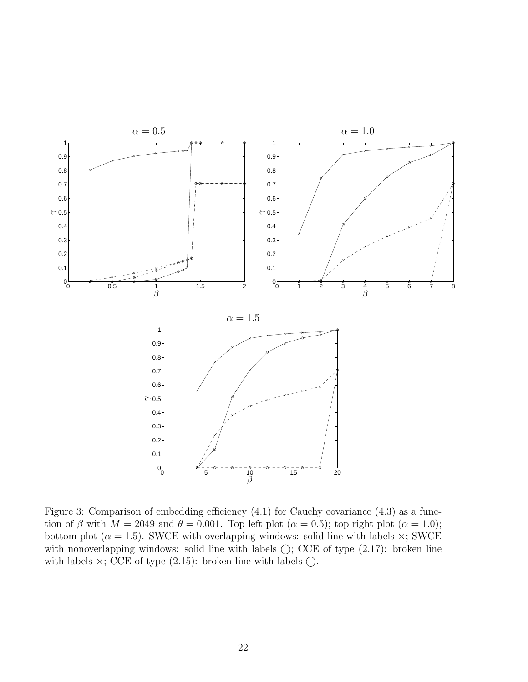

Figure 3: Comparison of embedding efficiency  $(4.1)$  for Cauchy covariance  $(4.3)$  as a function of  $\beta$  with  $M = 2049$  and  $\theta = 0.001$ . Top left plot  $(\alpha = 0.5)$ ; top right plot  $(\alpha = 1.0)$ ; bottom plot ( $\alpha = 1.5$ ). SWCE with overlapping windows: solid line with labels  $\times$ ; SWCE with nonoverlapping windows: solid line with labels  $\bigcirc$ ; CCE of type  $(2.17)$ : broken line with labels  $\times$ ; CCE of type (2.15): broken line with labels  $\bigcirc$ .